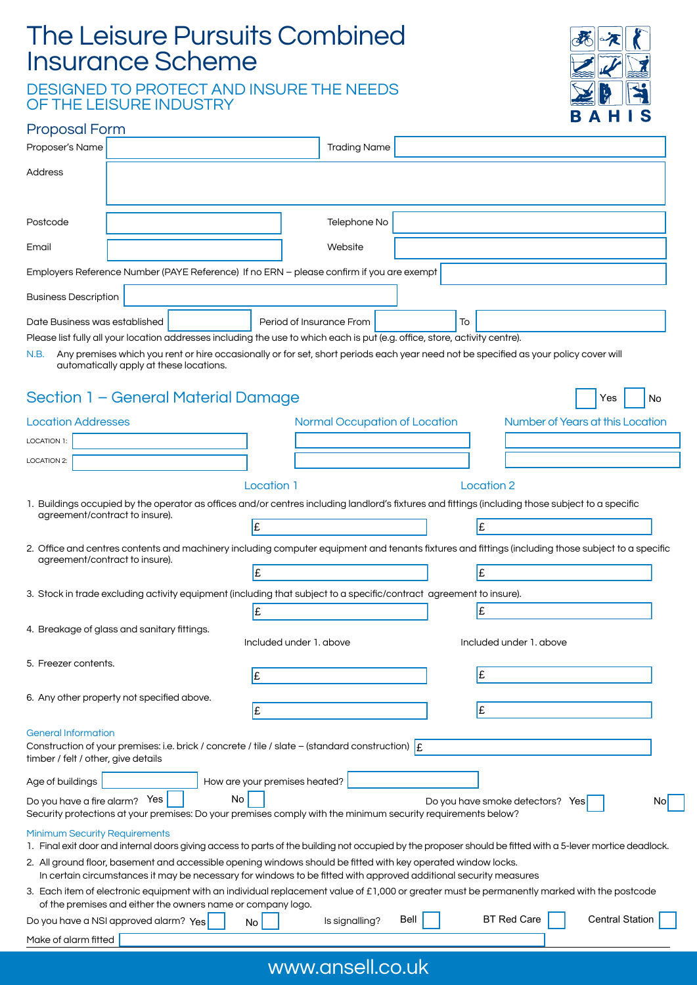# The Leisure Pursuits Combined Insurance Scheme

DESIGNED TO PROTECT AND INSURE THE NEEDS OF THE LEISURE INDUSTRY



### Proposal Form

| Proposer's Name                                                                                                                                                                                                                   | <b>Trading Name</b>                                                                                                                                         |
|-----------------------------------------------------------------------------------------------------------------------------------------------------------------------------------------------------------------------------------|-------------------------------------------------------------------------------------------------------------------------------------------------------------|
| Address                                                                                                                                                                                                                           |                                                                                                                                                             |
|                                                                                                                                                                                                                                   |                                                                                                                                                             |
| Postcode                                                                                                                                                                                                                          | Telephone No                                                                                                                                                |
| Email                                                                                                                                                                                                                             | Website                                                                                                                                                     |
| Employers Reference Number (PAYE Reference) If no ERN - please confirm if you are exempt                                                                                                                                          |                                                                                                                                                             |
| <b>Business Description</b>                                                                                                                                                                                                       |                                                                                                                                                             |
| Date Business was established                                                                                                                                                                                                     | Period of Insurance From<br>To                                                                                                                              |
| Please list fully all your location addresses including the use to which each is put (e.g. office, store, activity centre).<br>N.B.                                                                                               | Any premises which you rent or hire occasionally or for set, short periods each year need not be specified as your policy cover will                        |
| automatically apply at these locations.                                                                                                                                                                                           |                                                                                                                                                             |
| Section 1 – General Material Damage                                                                                                                                                                                               | Yes<br>No                                                                                                                                                   |
| <b>Location Addresses</b>                                                                                                                                                                                                         | Number of Years at this Location<br>Normal Occupation of Location                                                                                           |
| <b>LOCATION 1:</b>                                                                                                                                                                                                                |                                                                                                                                                             |
| LOCATION 2:                                                                                                                                                                                                                       |                                                                                                                                                             |
| Location 1                                                                                                                                                                                                                        | Location 2                                                                                                                                                  |
| agreement/contract to insure).                                                                                                                                                                                                    | 1. Buildings occupied by the operator as offices and/or centres including landlord's fixtures and fittings (including those subject to a specific           |
| £                                                                                                                                                                                                                                 | £                                                                                                                                                           |
|                                                                                                                                                                                                                                   | 2. Office and centres contents and machinery including computer equipment and tenants fixtures and fittings (including those subject to a specific          |
| agreement/contract to insure).<br>£                                                                                                                                                                                               | £                                                                                                                                                           |
| 3. Stock in trade excluding activity equipment (including that subject to a specific/contract agreement to insure).                                                                                                               |                                                                                                                                                             |
| £                                                                                                                                                                                                                                 | £                                                                                                                                                           |
| 4. Breakage of glass and sanitary fittings.<br>Included under 1, above                                                                                                                                                            | Included under 1, above                                                                                                                                     |
| 5. Freezer contents.                                                                                                                                                                                                              |                                                                                                                                                             |
| £                                                                                                                                                                                                                                 | £                                                                                                                                                           |
| 6. Any other property not specified above.<br>£                                                                                                                                                                                   | £                                                                                                                                                           |
| <b>General Information</b>                                                                                                                                                                                                        |                                                                                                                                                             |
| Construction of your premises: i.e. brick / concrete / tile / slate – (standard construction) $\mathbf{f}$<br>timber / felt / other, give details                                                                                 |                                                                                                                                                             |
| How are your premises heated?<br>Age of buildings                                                                                                                                                                                 |                                                                                                                                                             |
| No<br>Do you have a fire alarm? Yes                                                                                                                                                                                               | Do you have smoke detectors? Yes<br>Nol                                                                                                                     |
| Security protections at your premises: Do your premises comply with the minimum security requirements below?                                                                                                                      |                                                                                                                                                             |
| <b>Minimum Security Requirements</b>                                                                                                                                                                                              | 1. Final exit door and internal doors giving access to parts of the building not occupied by the proposer should be fitted with a 5-lever mortice deadlock. |
| 2. All ground floor, basement and accessible opening windows should be fitted with key operated window locks.<br>In certain circumstances it may be necessary for windows to be fitted with approved additional security measures |                                                                                                                                                             |
| of the premises and either the owners name or company logo.                                                                                                                                                                       | 3. Each item of electronic equipment with an individual replacement value of £1,000 or greater must be permanently marked with the postcode                 |
| Do you have a NSI approved alarm? Yes<br>No                                                                                                                                                                                       | <b>BT Red Care</b><br><b>Central Station</b><br>Bell<br>Is signalling?                                                                                      |
| Make of alarm fitted                                                                                                                                                                                                              |                                                                                                                                                             |

## www.ansell.co.uk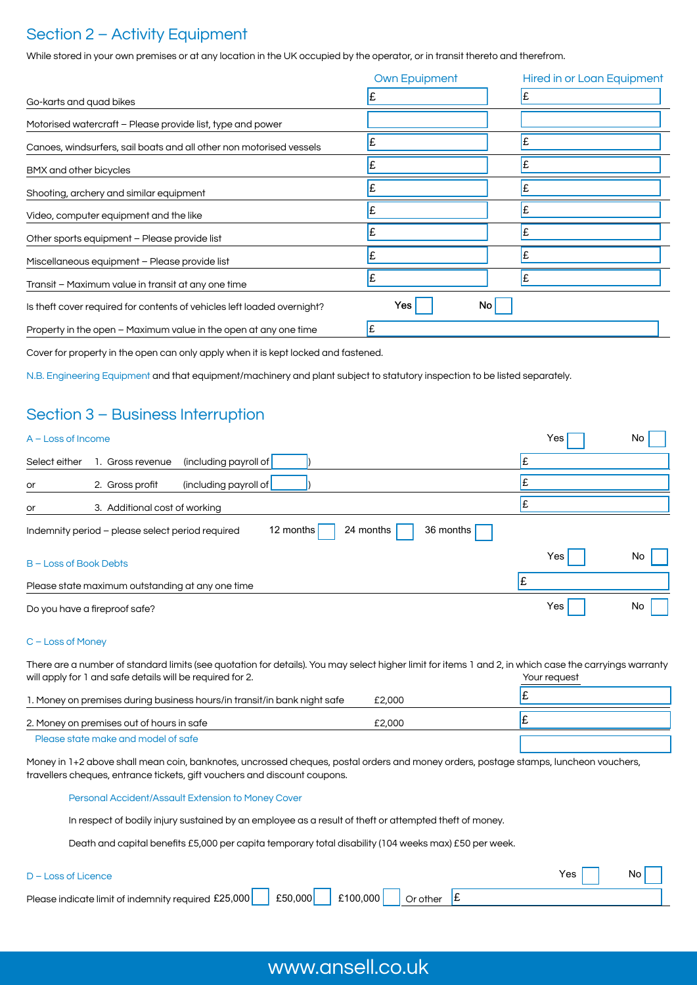### Section 2 – Activity Equipment

While stored in your own premises or at any location in the UK occupied by the operator, or in transit thereto and therefrom.

|                                                                         | <b>Own Epuipment</b> | <b>Hired in or Loan Equipment</b> |
|-------------------------------------------------------------------------|----------------------|-----------------------------------|
| Go-karts and quad bikes                                                 |                      |                                   |
| Motorised watercraft - Please provide list, type and power              |                      |                                   |
| Canoes, windsurfers, sail boats and all other non motorised vessels     |                      |                                   |
| BMX and other bicycles                                                  |                      |                                   |
| Shooting, archery and similar equipment                                 |                      |                                   |
| Video, computer equipment and the like                                  |                      |                                   |
| Other sports equipment - Please provide list                            |                      |                                   |
| Miscellaneous equipment - Please provide list                           |                      |                                   |
| Transit - Maximum value in transit at any one time                      |                      |                                   |
| Is theft cover required for contents of vehicles left loaded overnight? | Yes<br>No.           |                                   |
| Property in the open - Maximum value in the open at any one time        |                      |                                   |

Cover for property in the open can only apply when it is kept locked and fastened.

N.B. Engineering Equipment and that equipment/machinery and plant subject to statutory inspection to be listed separately.

### Section 3 – Business Interruption

| $A - Loss$ of Income        |                                                                                         | Yes              | No |
|-----------------------------|-----------------------------------------------------------------------------------------|------------------|----|
| Select either               | (including payroll of<br>1. Gross revenue                                               |                  |    |
| or                          | (including payroll of<br>2. Gross profit                                                |                  |    |
| or                          | 3. Additional cost of working                                                           |                  |    |
|                             | 36 months<br>24 months<br>12 months<br>Indemnity period - please select period required |                  |    |
| <b>B-Loss of Book Debts</b> |                                                                                         | Yes              | No |
|                             | Please state maximum outstanding at any one time                                        |                  |    |
|                             | Do you have a fireproof safe?                                                           | Yes <sub>l</sub> | No |

#### C – Loss of Money

There are a number of standard limits (see quotation for details). You may select higher limit for items 1 and 2, in which case the carryings warranty will apply for 1 and safe details will be required for 2. The same state of the same state of the Your request

| 1. Money on premises during business hours/in transit/in bank night safe | £2,000 |  |
|--------------------------------------------------------------------------|--------|--|
| 2. Money on premises out of hours in safe                                | £2,000 |  |
| Please state make and model of safe                                      |        |  |

Money in 1+2 above shall mean coin, banknotes, uncrossed cheques, postal orders and money orders, postage stamps, luncheon vouchers, travellers cheques, entrance tickets, gift vouchers and discount coupons.

Personal Accident/Assault Extension to Money Cover

In respect of bodily injury sustained by an employee as a result of theft or attempted theft of money.

Death and capital benefits £5,000 per capita temporary total disability (104 weeks max) £50 per week.

#### D – Loss of Licence

Please indicate limit of indemnity required £25,000  $\vert$  £50,000  $\vert$  £100,000  $\vert$  Or other Or other  $\mathbf{E}$ 

## www.ansell.co.uk

Yes | | No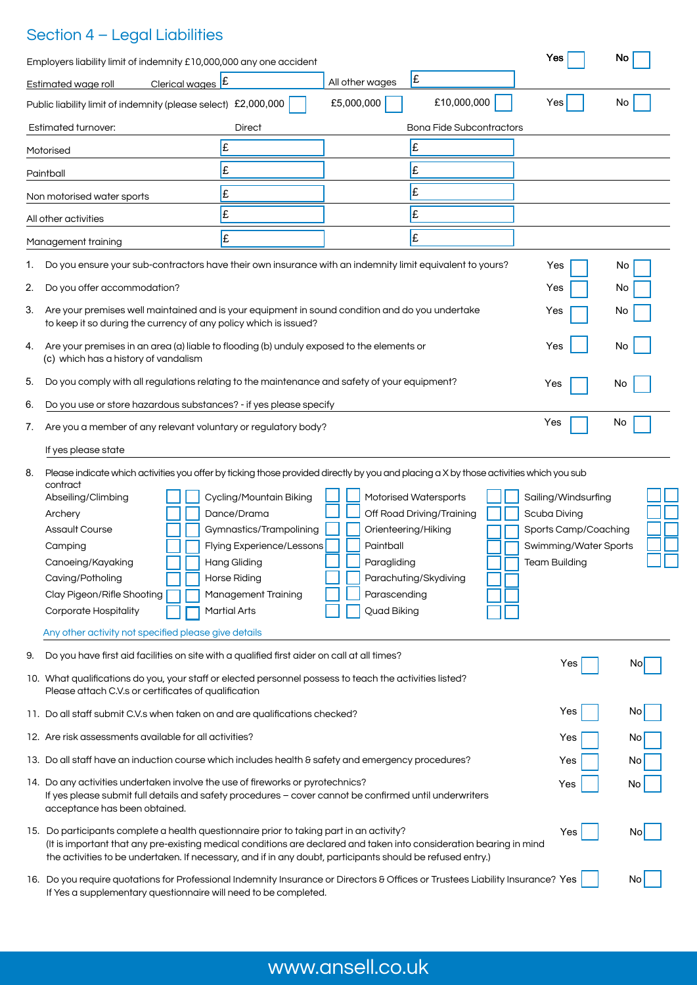## Section 4 – Legal Liabilities

| Employers liability limit of indemnity £10,000,000 any one accident                                                                                                                                                                                                                                                                                                                          |                                                                                                                                                                                            |                                                                                |                                                                             | Yes                                                                                                          | No  |
|----------------------------------------------------------------------------------------------------------------------------------------------------------------------------------------------------------------------------------------------------------------------------------------------------------------------------------------------------------------------------------------------|--------------------------------------------------------------------------------------------------------------------------------------------------------------------------------------------|--------------------------------------------------------------------------------|-----------------------------------------------------------------------------|--------------------------------------------------------------------------------------------------------------|-----|
| Clerical wages E<br>Estimated wage roll                                                                                                                                                                                                                                                                                                                                                      |                                                                                                                                                                                            | All other wages                                                                | £                                                                           |                                                                                                              |     |
| Public liability limit of indemnity (please select) £2,000,000                                                                                                                                                                                                                                                                                                                               |                                                                                                                                                                                            | £5,000,000                                                                     | £10,000,000                                                                 | Yes                                                                                                          | No. |
| <b>Estimated turnover:</b>                                                                                                                                                                                                                                                                                                                                                                   | Direct                                                                                                                                                                                     |                                                                                | <b>Bona Fide Subcontractors</b>                                             |                                                                                                              |     |
| Motorised                                                                                                                                                                                                                                                                                                                                                                                    | £                                                                                                                                                                                          |                                                                                | Ι£                                                                          |                                                                                                              |     |
| Paintball                                                                                                                                                                                                                                                                                                                                                                                    | £                                                                                                                                                                                          |                                                                                | £                                                                           |                                                                                                              |     |
| Non motorised water sports                                                                                                                                                                                                                                                                                                                                                                   | £                                                                                                                                                                                          |                                                                                | £                                                                           |                                                                                                              |     |
| All other activities                                                                                                                                                                                                                                                                                                                                                                         | £                                                                                                                                                                                          |                                                                                | £                                                                           |                                                                                                              |     |
| Management training                                                                                                                                                                                                                                                                                                                                                                          | £                                                                                                                                                                                          |                                                                                | £                                                                           |                                                                                                              |     |
| Do you ensure your sub-contractors have their own insurance with an indemnity limit equivalent to yours?<br>1.                                                                                                                                                                                                                                                                               |                                                                                                                                                                                            |                                                                                |                                                                             | Yes                                                                                                          |     |
| 2.<br>Do you offer accommodation?                                                                                                                                                                                                                                                                                                                                                            |                                                                                                                                                                                            |                                                                                |                                                                             |                                                                                                              | No  |
|                                                                                                                                                                                                                                                                                                                                                                                              |                                                                                                                                                                                            |                                                                                |                                                                             | Yes                                                                                                          | No  |
| 3.<br>Are your premises well maintained and is your equipment in sound condition and do you undertake<br>to keep it so during the currency of any policy which is issued?                                                                                                                                                                                                                    |                                                                                                                                                                                            |                                                                                |                                                                             | Yes                                                                                                          | Νo  |
| Are your premises in an area (a) liable to flooding (b) unduly exposed to the elements or<br>4.<br>(c) which has a history of vandalism                                                                                                                                                                                                                                                      |                                                                                                                                                                                            |                                                                                |                                                                             | Yes                                                                                                          | No  |
| Do you comply with all regulations relating to the maintenance and safety of your equipment?<br>5.                                                                                                                                                                                                                                                                                           |                                                                                                                                                                                            |                                                                                |                                                                             | Yes                                                                                                          | No  |
| Do you use or store hazardous substances? - if yes please specify<br>6.                                                                                                                                                                                                                                                                                                                      |                                                                                                                                                                                            |                                                                                |                                                                             |                                                                                                              |     |
| Yes<br>No<br>Are you a member of any relevant voluntary or regulatory body?<br>7.                                                                                                                                                                                                                                                                                                            |                                                                                                                                                                                            |                                                                                |                                                                             |                                                                                                              |     |
| If yes please state                                                                                                                                                                                                                                                                                                                                                                          |                                                                                                                                                                                            |                                                                                |                                                                             |                                                                                                              |     |
| Please indicate which activities you offer by ticking those provided directly by you and placing a X by those activities which you sub<br>8.<br>contract<br>Abseiling/Climbing<br>Archery<br><b>Assault Course</b><br>Camping<br>Canoeing/Kayaking<br>Caving/Potholing<br>Clay Pigeon/Rifle Shooting<br><b>Corporate Hospitality</b><br>Any other activity not specified please give details | Cycling/Mountain Biking<br>Dance/Drama<br>Gymnastics/Trampolining<br>Flying Experience/Lessons<br><b>Hang Gliding</b><br>Horse Riding<br><b>Management Training</b><br><b>Martial Arts</b> | Orienteering/Hiking<br>Paintball<br>Paragliding<br>Parascending<br>Quad Biking | Motorised Watersports<br>Off Road Driving/Training<br>Parachuting/Skydiving | Sailing/Windsurfing<br>Scuba Diving<br>Sports Camp/Coaching<br>Swimming/Water Sports<br><b>Team Building</b> |     |
| Do you have first aid facilities on site with a qualified first aider on call at all times?<br>9.                                                                                                                                                                                                                                                                                            |                                                                                                                                                                                            |                                                                                |                                                                             | Yes                                                                                                          | No  |
| 10. What qualifications do you, your staff or elected personnel possess to teach the activities listed?<br>Please attach C.V.s or certificates of qualification                                                                                                                                                                                                                              |                                                                                                                                                                                            |                                                                                |                                                                             |                                                                                                              |     |
| 11. Do all staff submit C.V.s when taken on and are qualifications checked?                                                                                                                                                                                                                                                                                                                  |                                                                                                                                                                                            |                                                                                |                                                                             | Yes                                                                                                          | No  |
| 12. Are risk assessments available for all activities?                                                                                                                                                                                                                                                                                                                                       |                                                                                                                                                                                            |                                                                                |                                                                             | Yes                                                                                                          | No  |
| 13. Do all staff have an induction course which includes health & safety and emergency procedures?<br>Yes<br>No                                                                                                                                                                                                                                                                              |                                                                                                                                                                                            |                                                                                |                                                                             |                                                                                                              |     |
| 14. Do any activities undertaken involve the use of fireworks or pyrotechnics?<br>If yes please submit full details and safety procedures - cover cannot be confirmed until underwriters<br>acceptance has been obtained.                                                                                                                                                                    |                                                                                                                                                                                            |                                                                                |                                                                             | Yes                                                                                                          | No  |
| 15. Do participants complete a health questionnaire prior to taking part in an activity?<br>(It is important that any pre-existing medical conditions are declared and taken into consideration bearing in mind<br>the activities to be undertaken. If necessary, and if in any doubt, participants should be refused entry.)                                                                |                                                                                                                                                                                            |                                                                                |                                                                             | Yes                                                                                                          | No  |
| 16. Do you require quotations for Professional Indemnity Insurance or Directors & Offices or Trustees Liability Insurance? Yes                                                                                                                                                                                                                                                               |                                                                                                                                                                                            |                                                                                |                                                                             |                                                                                                              | No  |

If Yes a supplementary questionnaire will need to be completed.